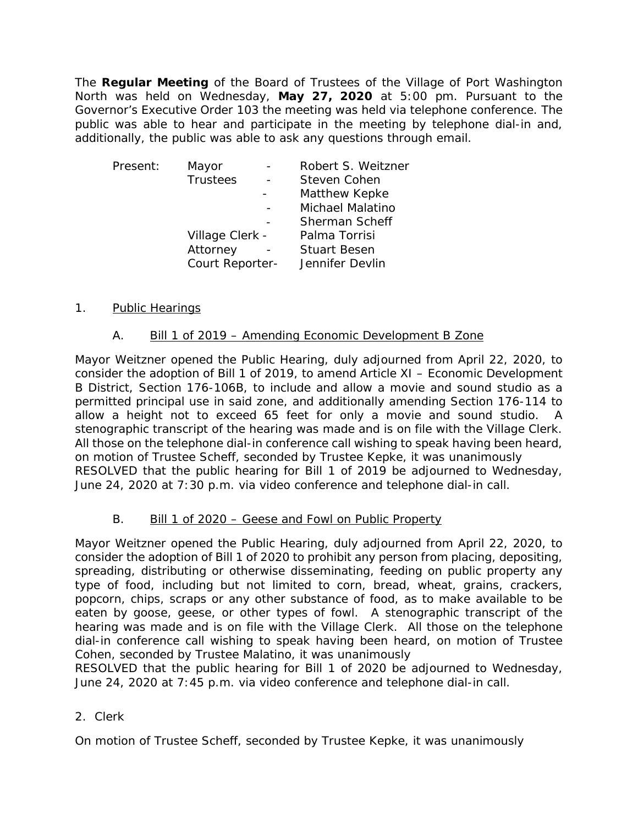The **Regular Meeting** of the Board of Trustees of the Village of Port Washington North was held on Wednesday, May 27, 2020 at 5:00 pm. Pursuant to the Governor's Executive Order 103 the meeting was held via telephone conference. The public was able to hear and participate in the meeting by telephone dial-in and, additionally, the public was able to ask any questions through email.

| Present:        | Mayor           |  | Robert S. Weitzner  |
|-----------------|-----------------|--|---------------------|
|                 | <b>Trustees</b> |  | Steven Cohen        |
|                 |                 |  | Matthew Kepke       |
|                 |                 |  | Michael Malatino    |
|                 |                 |  | Sherman Scheff      |
|                 | Village Clerk - |  | Palma Torrisi       |
|                 | Attorney        |  | <b>Stuart Besen</b> |
| Court Reporter- |                 |  | Jennifer Devlin     |

## 1. Public Hearings

## A. Bill 1 of 2019 – Amending Economic Development B Zone

Mayor Weitzner opened the Public Hearing, duly adjourned from April 22, 2020, to consider the adoption of Bill 1 of 2019, to amend Article XI – Economic Development B District, Section 176-106B, to include and allow a movie and sound studio as a permitted principal use in said zone, and additionally amending Section 176-114 to allow a height not to exceed 65 feet for only a movie and sound studio. A stenographic transcript of the hearing was made and is on file with the Village Clerk. All those on the telephone dial-in conference call wishing to speak having been heard, on motion of Trustee Scheff, seconded by Trustee Kepke, it was unanimously RESOLVED that the public hearing for Bill 1 of 2019 be adjourned to Wednesday, June 24, 2020 at 7:30 p.m. via video conference and telephone dial-in call.

#### B. Bill 1 of 2020 – Geese and Fowl on Public Property

Mayor Weitzner opened the Public Hearing, duly adjourned from April 22, 2020, to consider the adoption of Bill 1 of 2020 to prohibit any person from placing, depositing, spreading, distributing or otherwise disseminating, feeding on public property any type of food, including but not limited to corn, bread, wheat, grains, crackers, popcorn, chips, scraps or any other substance of food, as to make available to be eaten by goose, geese, or other types of fowl. A stenographic transcript of the hearing was made and is on file with the Village Clerk. All those on the telephone dial-in conference call wishing to speak having been heard, on motion of Trustee Cohen, seconded by Trustee Malatino, it was unanimously

RESOLVED that the public hearing for Bill 1 of 2020 be adjourned to Wednesday, June 24, 2020 at 7:45 p.m. via video conference and telephone dial-in call.

#### 2. Clerk

On motion of Trustee Scheff, seconded by Trustee Kepke, it was unanimously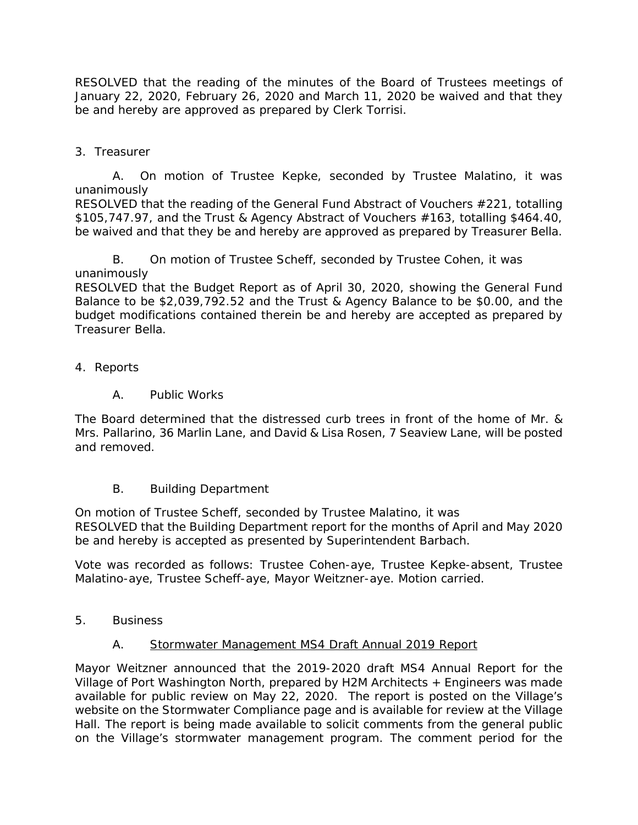RESOLVED that the reading of the minutes of the Board of Trustees meetings of January 22, 2020, February 26, 2020 and March 11, 2020 be waived and that they be and hereby are approved as prepared by Clerk Torrisi.

3. Treasurer

A. On motion of Trustee Kepke, seconded by Trustee Malatino, it was unanimously

RESOLVED that the reading of the General Fund Abstract of Vouchers #221, totalling \$105,747.97, and the Trust & Agency Abstract of Vouchers #163, totalling \$464.40, be waived and that they be and hereby are approved as prepared by Treasurer Bella.

B. On motion of Trustee Scheff, seconded by Trustee Cohen, it was unanimously

RESOLVED that the Budget Report as of April 30, 2020, showing the General Fund Balance to be \$2,039,792.52 and the Trust & Agency Balance to be \$0.00, and the budget modifications contained therein be and hereby are accepted as prepared by Treasurer Bella.

- 4. Reports
	- A. Public Works

The Board determined that the distressed curb trees in front of the home of Mr. & Mrs. Pallarino, 36 Marlin Lane, and David & Lisa Rosen, 7 Seaview Lane, will be posted and removed.

B. Building Department

On motion of Trustee Scheff, seconded by Trustee Malatino, it was RESOLVED that the Building Department report for the months of April and May 2020 be and hereby is accepted as presented by Superintendent Barbach.

Vote was recorded as follows: Trustee Cohen-aye, Trustee Kepke-absent, Trustee Malatino-aye, Trustee Scheff-aye, Mayor Weitzner-aye. Motion carried.

5. Business

# A. Stormwater Management MS4 Draft Annual 2019 Report

Mayor Weitzner announced that the 2019-2020 draft MS4 Annual Report for the Village of Port Washington North, prepared by H2M Architects + Engineers was made available for public review on May 22, 2020. The report is posted on the Village's website on the Stormwater Compliance page and is available for review at the Village Hall. The report is being made available to solicit comments from the general public on the Village's stormwater management program. The comment period for the